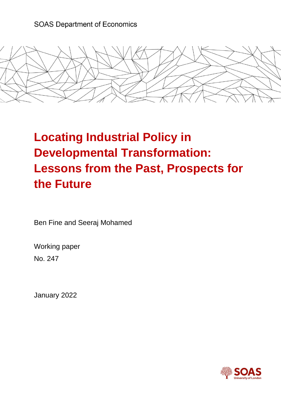# **SOAS Department of Economics**



# **Locating Industrial Policy in Developmental Transformation: Lessons from the Past, Prospects for the Future**

Ben Fine and Seeraj Mohamed

Working paper No. 247

January 2022

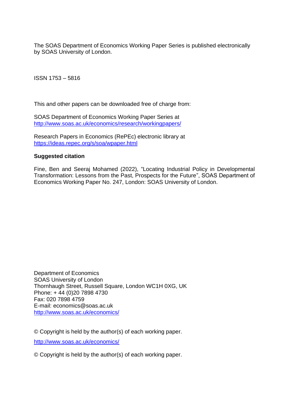The SOAS Department of Economics Working Paper Series is published electronically by SOAS University of London.

ISSN 1753 – 5816

This and other papers can be downloaded free of charge from:

SOAS Department of Economics Working Paper Series at <http://www.soas.ac.uk/economics/research/workingpapers/>

Research Papers in Economics (RePEc) electronic library at <https://ideas.repec.org/s/soa/wpaper.html>

## **Suggested citation**

Fine, Ben and Seeraj Mohamed (2022), "Locating Industrial Policy in Developmental Transformation: Lessons from the Past, Prospects for the Future", SOAS Department of Economics Working Paper No. 247, London: SOAS University of London.

Department of Economics SOAS University of London Thornhaugh Street, Russell Square, London WC1H 0XG, UK Phone: [+ 44 \(0\)20 7898 4730](tel:%2B%2044%20%280%2920%207898%204730) Fax: 020 7898 4759 E-mail: economics@soas.ac.uk <http://www.soas.ac.uk/economics/>

© Copyright is held by the author(s) of each working paper.

<http://www.soas.ac.uk/economics/>

© Copyright is held by the author(s) of each working paper.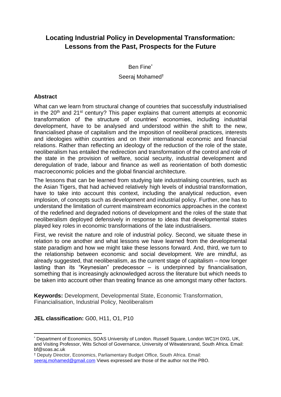# **Locating Industrial Policy in Developmental Transformation: Lessons from the Past, Prospects for the Future**

Ben Fine\*

Seeraj Mohamed†

## **Abstract**

What can we learn from structural change of countries that successfully industrialised in the  $20<sup>th</sup>$  and  $21<sup>st</sup>$  century? This paper explains that current attempts at economic transformation of the structure of countries' economies, including industrial development, have to be analysed and understood within the shift to the new, financialised phase of capitalism and the imposition of neoliberal practices, interests and ideologies within countries and on their international economic and financial relations. Rather than reflecting an ideology of the reduction of the role of the state, neoliberalism has entailed the redirection and transformation of the control and role of the state in the provision of welfare, social security, industrial development and deregulation of trade, labour and finance as well as reorientation of both domestic macroeconomic policies and the global financial architecture.

The lessons that can be learned from studying late industrialising countries, such as the Asian Tigers, that had achieved relatively high levels of industrial transformation, have to take into account this context, including the analytical reduction, even implosion, of concepts such as development and industrial policy. Further, one has to understand the limitation of current mainstream economics approaches in the context of the redefined and degraded notions of development and the roles of the state that neoliberalism deployed defensively in response to ideas that developmental states played key roles in economic transformations of the late industrialisers.

First, we revisit the nature and role of industrial policy. Second, we situate these in relation to one another and what lessons we have learned from the developmental state paradigm and how we might take these lessons forward. And, third, we turn to the relationship between economic and social development. We are mindful, as already suggested, that neoliberalism, as the current stage of capitalism – now longer lasting than its "Keynesian" predecessor – is underpinned by financialisation, something that is increasingly acknowledged across the literature but which needs to be taken into account other than treating finance as one amongst many other factors.

**Keywords:** Development, Developmental State, Economic Transformation, Financialisation, Industrial Policy, Neoliberalism

## **JEL classification:** G00, H11, O1, P10

Department of Economics, SOAS University of London, Russell Square, London WC1H 0XG, UK, and Visiting Professor, Wits School of Governance, University of Witwatersrand, South Africa. Email: bf@soas.ac.uk

<sup>†</sup> Deputy Director, Economics, Parliamentary Budget Office, South Africa. Email:

[seeraj.mohamed@gmail.com](mailto:seeraj.mohamed@gmail.com) Views expressed are those of the author not the PBO.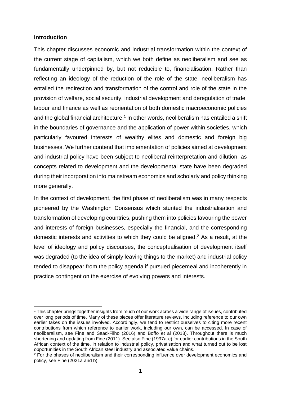#### **Introduction**

This chapter discusses economic and industrial transformation within the context of the current stage of capitalism, which we both define as neoliberalism and see as fundamentally underpinned by, but not reducible to, financialisation. Rather than reflecting an ideology of the reduction of the role of the state, neoliberalism has entailed the redirection and transformation of the control and role of the state in the provision of welfare, social security, industrial development and deregulation of trade, labour and finance as well as reorientation of both domestic macroeconomic policies and the global financial architecture.<sup>1</sup> In other words, neoliberalism has entailed a shift in the boundaries of governance and the application of power within societies, which particularly favoured interests of wealthy elites and domestic and foreign big businesses. We further contend that implementation of policies aimed at development and industrial policy have been subject to neoliberal reinterpretation and dilution, as concepts related to development and the developmental state have been degraded during their incorporation into mainstream economics and scholarly and policy thinking more generally.

In the context of development, the first phase of neoliberalism was in many respects pioneered by the Washington Consensus which stunted the industrialisation and transformation of developing countries, pushing them into policies favouring the power and interests of foreign businesses, especially the financial, and the corresponding domestic interests and activities to which they could be aligned.<sup>2</sup> As a result, at the level of ideology and policy discourses, the conceptualisation of development itself was degraded (to the idea of simply leaving things to the market) and industrial policy tended to disappear from the policy agenda if pursued piecemeal and incoherently in practice contingent on the exercise of evolving powers and interests.

<sup>1</sup> This chapter brings together insights from much of our work across a wide range of issues, contributed over long periods of time. Many of these pieces offer literature reviews, including reference to our own earlier takes on the issues involved. Accordingly, we tend to restrict ourselves to citing more recent contributions from which reference to earlier work, including our own, can be accessed. In case of neoliberalism, see Fine and Saad-Filho (2016) and Boffo et al (2018). Throughout there is much shortening and updating from Fine (2011). See also Fine (1997a-c) for earlier contributions in the South African context of the time, in relation to industrial policy, privatisation and what turned out to be lost opportunities in the South African steel industry and associated value chains.

<sup>&</sup>lt;sup>2</sup> For the phases of neoliberalism and their corresponding influence over development economics and policy, see Fine (2021a and b).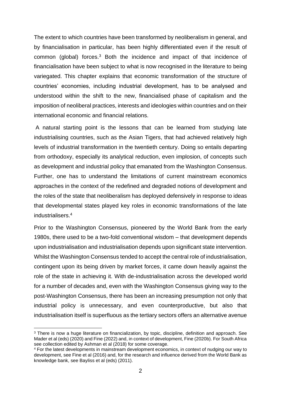The extent to which countries have been transformed by neoliberalism in general, and by financialisation in particular, has been highly differentiated even if the result of common (global) forces.<sup>3</sup> Both the incidence and impact of that incidence of financialisation have been subject to what is now recognised in the literature to being variegated. This chapter explains that economic transformation of the structure of countries' economies, including industrial development, has to be analysed and understood within the shift to the new, financialised phase of capitalism and the imposition of neoliberal practices, interests and ideologies within countries and on their international economic and financial relations.

A natural starting point is the lessons that can be learned from studying late industrialising countries, such as the Asian Tigers, that had achieved relatively high levels of industrial transformation in the twentieth century. Doing so entails departing from orthodoxy, especially its analytical reduction, even implosion, of concepts such as development and industrial policy that emanated from the Washington Consensus. Further, one has to understand the limitations of current mainstream economics approaches in the context of the redefined and degraded notions of development and the roles of the state that neoliberalism has deployed defensively in response to ideas that developmental states played key roles in economic transformations of the late industrialisers.<sup>4</sup>

Prior to the Washington Consensus, pioneered by the World Bank from the early 1980s, there used to be a two-fold conventional wisdom – that development depends upon industrialisation and industrialisation depends upon significant state intervention. Whilst the Washington Consensus tended to accept the central role of industrialisation, contingent upon its being driven by market forces, it came down heavily against the role of the state in achieving it. With de-industrialisation across the developed world for a number of decades and, even with the Washington Consensus giving way to the post-Washington Consensus, there has been an increasing presumption not only that industrial policy is unnecessary, and even counterproductive, but also that industrialisation itself is superfluous as the tertiary sectors offers an alternative avenue

<sup>3</sup> There is now a huge literature on financialization, by topic, discipline, definition and approach. See Mader et al (eds) (2020) and Fine (2022) and, in context of development, Fine (2020b). For South Africa see collection edited by Ashman et al (2018) for some coverage.

<sup>4</sup> For the latest developments in mainstream development economics, in context of nudging our way to development, see Fine et al (2016) and, for the research and influence derived from the World Bank as knowledge bank, see Bayliss et al (eds) (2011).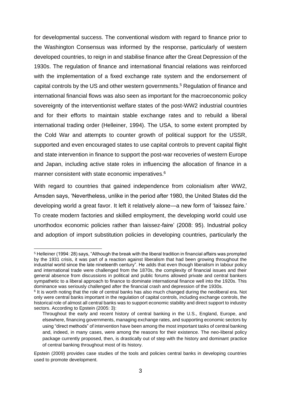for developmental success. The conventional wisdom with regard to finance prior to the Washington Consensus was informed by the response, particularly of western developed countries, to reign in and stabilise finance after the Great Depression of the 1930s. The regulation of finance and international financial relations was reinforced with the implementation of a fixed exchange rate system and the endorsement of capital controls by the US and other western governments.<sup>5</sup> Regulation of finance and international financial flows was also seen as important for the macroeconomic policy sovereignty of the interventionist welfare states of the post-WW2 industrial countries and for their efforts to maintain stable exchange rates and to rebuild a liberal international trading order (Helleiner, 1994). The USA, to some extent prompted by the Cold War and attempts to counter growth of political support for the USSR, supported and even encouraged states to use capital controls to prevent capital flight and state intervention in finance to support the post-war recoveries of western Europe and Japan, including active state roles in influencing the allocation of finance in a manner consistent with state economic imperatives.<sup>6</sup>

With regard to countries that gained independence from colonialism after WW2, Amsden says, 'Nevertheless, unlike in the period after 1980, the United States did the developing world a great favor. It left it relatively alone—a new form of 'laissez faire.' To create modern factories and skilled employment, the developing world could use unorthodox economic policies rather than laissez-faire' (2008: 95). Industrial policy and adoption of import substitution policies in developing countries, particularly the

<sup>5</sup> Helleiner (1994: 28) says, "Although the break with the liberal tradition in financial affairs was prompted by the 1931 crisis, it was part of a reaction against liberalism that had been growing throughout the industrial world since the late nineteenth century". He adds that even though liberalism in labour policy and international trade were challenged from the 1870s, the complexity of financial issues and their general absence from discussions in political and public forums allowed private and central bankers sympathetic to a liberal approach to finance to dominate international finance well into the 1920s. This dominance was seriously challenged after the financial crash and depression of the 1930s.

<sup>&</sup>lt;sup>6</sup> It is worth noting that the role of central banks has also much changed during the neoliberal era. Not only were central banks important in the regulation of capital controls, including exchange controls, the historical role of almost all central banks was to support economic stability and direct support to industry sectors. According to Epstein (2005: 3):

Throughout the early and recent history of central banking in the U.S., England, Europe, and elsewhere, financing governments, managing exchange rates, and supporting economic sectors by using "direct methods" of intervention have been among the most important tasks of central banking and, indeed, in many cases, were among the reasons for their existence. The neo-liberal policy package currently proposed, then, is drastically out of step with the history and dominant practice of central banking throughout most of its history.

Epstein (2009) provides case studies of the tools and policies central banks in developing countries used to promote development.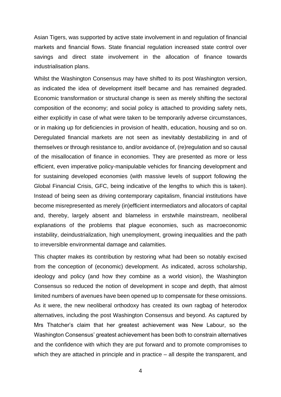Asian Tigers, was supported by active state involvement in and regulation of financial markets and financial flows. State financial regulation increased state control over savings and direct state involvement in the allocation of finance towards industrialisation plans.

Whilst the Washington Consensus may have shifted to its post Washington version, as indicated the idea of development itself became and has remained degraded. Economic transformation or structural change is seen as merely shifting the sectoral composition of the economy; and social policy is attached to providing safety nets, either explicitly in case of what were taken to be temporarily adverse circumstances, or in making up for deficiencies in provision of health, education, housing and so on. Deregulated financial markets are not seen as inevitably destabilizing in and of themselves or through resistance to, and/or avoidance of, (re)regulation and so causal of the misallocation of finance in economies. They are presented as more or less efficient, even imperative policy-manipulable vehicles for financing development and for sustaining developed economies (with massive levels of support following the Global Financial Crisis, GFC, being indicative of the lengths to which this is taken). Instead of being seen as driving contemporary capitalism, financial institutions have become misrepresented as merely (in)efficient intermediators and allocators of capital and, thereby, largely absent and blameless in erstwhile mainstream, neoliberal explanations of the problems that plague economies, such as macroeconomic instability, deindustrialization, high unemployment, growing inequalities and the path to irreversible environmental damage and calamities.

This chapter makes its contribution by restoring what had been so notably excised from the conception of (economic) development. As indicated, across scholarship, ideology and policy (and how they combine as a world vision), the Washington Consensus so reduced the notion of development in scope and depth, that almost limited numbers of avenues have been opened up to compensate for these omissions. As it were, the new neoliberal orthodoxy has created its own ragbag of heterodox alternatives, including the post Washington Consensus and beyond. As captured by Mrs Thatcher's claim that her greatest achievement was New Labour, so the Washington Consensus' greatest achievement has been both to constrain alternatives and the confidence with which they are put forward and to promote compromises to which they are attached in principle and in practice – all despite the transparent, and

4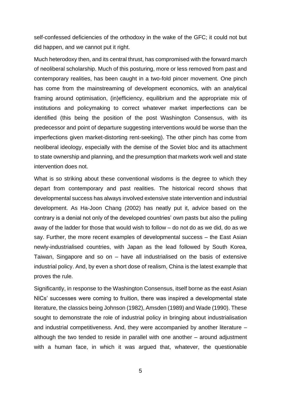self-confessed deficiencies of the orthodoxy in the wake of the GFC; it could not but did happen, and we cannot put it right.

Much heterodoxy then, and its central thrust, has compromised with the forward march of neoliberal scholarship. Much of this posturing, more or less removed from past and contemporary realities, has been caught in a two-fold pincer movement. One pinch has come from the mainstreaming of development economics, with an analytical framing around optimisation, (in)efficiency, equilibrium and the appropriate mix of institutions and policymaking to correct whatever market imperfections can be identified (this being the position of the post Washington Consensus, with its predecessor and point of departure suggesting interventions would be worse than the imperfections given market-distorting rent-seeking). The other pinch has come from neoliberal ideology, especially with the demise of the Soviet bloc and its attachment to state ownership and planning, and the presumption that markets work well and state intervention does not.

What is so striking about these conventional wisdoms is the degree to which they depart from contemporary and past realities. The historical record shows that developmental success has always involved extensive state intervention and industrial development. As Ha-Joon Chang (2002) has neatly put it, advice based on the contrary is a denial not only of the developed countries' own pasts but also the pulling away of the ladder for those that would wish to follow – do not do as we did, do as we say. Further, the more recent examples of developmental success – the East Asian newly-industrialised countries, with Japan as the lead followed by South Korea, Taiwan, Singapore and so on – have all industrialised on the basis of extensive industrial policy. And, by even a short dose of realism, China is the latest example that proves the rule.

Significantly, in response to the Washington Consensus, itself borne as the east Asian NICs' successes were coming to fruition, there was inspired a developmental state literature, the classics being Johnson (1982), Amsden (1989) and Wade (1990). These sought to demonstrate the role of industrial policy in bringing about industrialisation and industrial competitiveness. And, they were accompanied by another literature – although the two tended to reside in parallel with one another – around adjustment with a human face, in which it was argued that, whatever, the questionable

5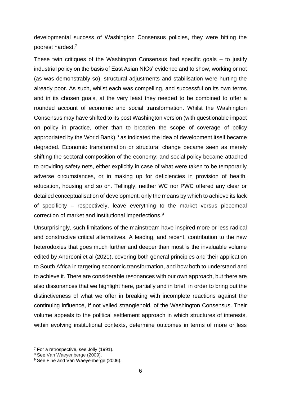developmental success of Washington Consensus policies, they were hitting the poorest hardest.<sup>7</sup>

These twin critiques of the Washington Consensus had specific goals  $-$  to justify industrial policy on the basis of East Asian NICs' evidence and to show, working or not (as was demonstrably so), structural adjustments and stabilisation were hurting the already poor. As such, whilst each was compelling, and successful on its own terms and in its chosen goals, at the very least they needed to be combined to offer a rounded account of economic and social transformation. Whilst the Washington Consensus may have shifted to its post Washington version (with questionable impact on policy in practice, other than to broaden the scope of coverage of policy appropriated by the World Bank), $8$  as indicated the idea of development itself became degraded. Economic transformation or structural change became seen as merely shifting the sectoral composition of the economy; and social policy became attached to providing safety nets, either explicitly in case of what were taken to be temporarily adverse circumstances, or in making up for deficiencies in provision of health, education, housing and so on. Tellingly, neither WC nor PWC offered any clear or detailed conceptualisation of development, only the means by which to achieve its lack of specificity – respectively, leave everything to the market versus piecemeal correction of market and institutional imperfections.<sup>9</sup>

Unsurprisingly, such limitations of the mainstream have inspired more or less radical and constructive critical alternatives. A leading, and recent, contribution to the new heterodoxies that goes much further and deeper than most is the invaluable volume edited by Andreoni et al (2021), covering both general principles and their application to South Africa in targeting economic transformation, and how both to understand and to achieve it. There are considerable resonances with our own approach, but there are also dissonances that we highlight here, partially and in brief, in order to bring out the distinctiveness of what we offer in breaking with incomplete reactions against the continuing influence, if not veiled stranglehold, of the Washington Consensus. Their volume appeals to the political settlement approach in which structures of interests, within evolving institutional contexts, determine outcomes in terms of more or less

<sup>7</sup> For a retrospective, see Jolly (1991).

<sup>8</sup> See Van Waeyenberge (2009).

<sup>&</sup>lt;sup>9</sup> See Fine and Van Waeyenberge (2006).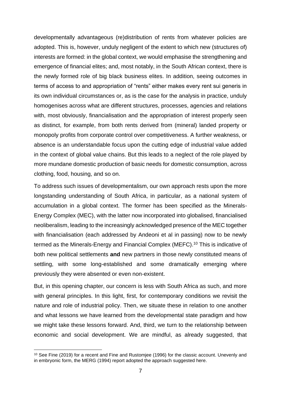developmentally advantageous (re)distribution of rents from whatever policies are adopted. This is, however, unduly negligent of the extent to which new (structures of) interests are formed: in the global context, we would emphasise the strengthening and emergence of financial elites; and, most notably, in the South African context, there is the newly formed role of big black business elites. In addition, seeing outcomes in terms of access to and appropriation of "rents" either makes every rent sui generis in its own individual circumstances or, as is the case for the analysis in practice, unduly homogenises across what are different structures, processes, agencies and relations with, most obviously, financialisation and the appropriation of interest properly seen as distinct, for example, from both rents derived from (mineral) landed property or monopoly profits from corporate control over competitiveness. A further weakness, or absence is an understandable focus upon the cutting edge of industrial value added in the context of global value chains. But this leads to a neglect of the role played by more mundane domestic production of basic needs for domestic consumption, across clothing, food, housing, and so on.

To address such issues of developmentalism, our own approach rests upon the more longstanding understanding of South Africa, in particular, as a national system of accumulation in a global context. The former has been specified as the Minerals-Energy Complex (MEC), with the latter now incorporated into globalised, financialised neoliberalism, leading to the increasingly acknowledged presence of the MEC together with financialisation (each addressed by Andeoni et al in passing) now to be newly termed as the Minerals-Energy and Financial Complex (MEFC).<sup>10</sup> This is indicative of both new political settlements **and** new partners in those newly constituted means of settling, with some long-established and some dramatically emerging where previously they were absented or even non-existent.

But, in this opening chapter, our concern is less with South Africa as such, and more with general principles. In this light, first, for contemporary conditions we revisit the nature and role of industrial policy. Then, we situate these in relation to one another and what lessons we have learned from the developmental state paradigm and how we might take these lessons forward. And, third, we turn to the relationship between economic and social development. We are mindful, as already suggested, that

<sup>&</sup>lt;sup>10</sup> See Fine (2019) for a recent and Fine and Rustomiee (1996) for the classic account. Unevenly and in embryonic form, the MERG (1994) report adopted the approach suggested here.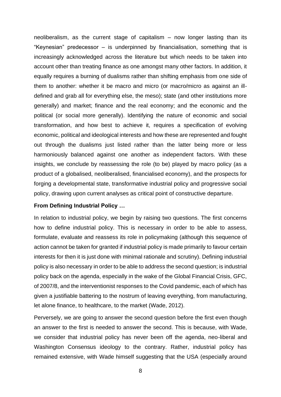neoliberalism, as the current stage of capitalism – now longer lasting than its "Keynesian" predecessor – is underpinned by financialisation, something that is increasingly acknowledged across the literature but which needs to be taken into account other than treating finance as one amongst many other factors. In addition, it equally requires a burning of dualisms rather than shifting emphasis from one side of them to another: whether it be macro and micro (or macro/micro as against an illdefined and grab all for everything else, the meso); state (and other institutions more generally) and market; finance and the real economy; and the economic and the political (or social more generally). Identifying the nature of economic and social transformation, and how best to achieve it, requires a specification of evolving economic, political and ideological interests and how these are represented and fought out through the dualisms just listed rather than the latter being more or less harmoniously balanced against one another as independent factors. With these insights, we conclude by reassessing the role (to be) played by macro policy (as a product of a globalised, neoliberalised, financialised economy), and the prospects for forging a developmental state, transformative industrial policy and progressive social policy, drawing upon current analyses as critical point of constructive departure.

## **From Defining Industrial Policy …**

In relation to industrial policy, we begin by raising two questions. The first concerns how to define industrial policy. This is necessary in order to be able to assess, formulate, evaluate and reassess its role in policymaking (although this sequence of action cannot be taken for granted if industrial policy is made primarily to favour certain interests for then it is just done with minimal rationale and scrutiny). Defining industrial policy is also necessary in order to be able to address the second question; is industrial policy back on the agenda, especially in the wake of the Global Financial Crisis, GFC, of 2007/8, and the interventionist responses to the Covid pandemic, each of which has given a justifiable battering to the nostrum of leaving everything, from manufacturing, let alone finance, to healthcare, to the market (Wade, 2012).

Perversely, we are going to answer the second question before the first even though an answer to the first is needed to answer the second. This is because, with Wade, we consider that industrial policy has never been off the agenda, neo-liberal and Washington Consensus ideology to the contrary. Rather, industrial policy has remained extensive, with Wade himself suggesting that the USA (especially around

8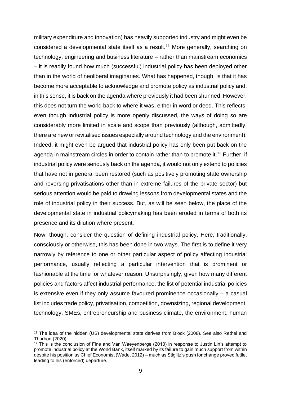military expenditure and innovation) has heavily supported industry and might even be considered a developmental state itself as a result.<sup>11</sup> More generally, searching on technology, engineering and business literature – rather than mainstream economics – it is readily found how much (successful) industrial policy has been deployed other than in the world of neoliberal imaginaries. What has happened, though, is that it has become more acceptable to acknowledge and promote policy as industrial policy and, in this sense, it is back on the agenda where previously it had been shunned. However, this does not turn the world back to where it was, either in word or deed. This reflects, even though industrial policy is more openly discussed, the ways of doing so are considerably more limited in scale and scope than previously (although, admittedly, there are new or revitalised issues especially around technology and the environment). Indeed, it might even be argued that industrial policy has only been put back on the agenda in mainstream circles in order to contain rather than to promote it.<sup>12</sup> Further, if industrial policy were seriously back on the agenda, it would not only extend to policies that have not in general been restored (such as positively promoting state ownership and reversing privatisations other than in extreme failures of the private sector) but serious attention would be paid to drawing lessons from developmental states and the role of industrial policy in their success. But, as will be seen below, the place of the developmental state in industrial policymaking has been eroded in terms of both its presence and its dilution where present.

Now, though, consider the question of defining industrial policy. Here, traditionally, consciously or otherwise, this has been done in two ways. The first is to define it very narrowly by reference to one or other particular aspect of policy affecting industrial performance, usually reflecting a particular intervention that is prominent or fashionable at the time for whatever reason. Unsurprisingly, given how many different policies and factors affect industrial performance, the list of potential industrial policies is extensive even if they only assume favoured prominence occasionally – a casual list includes trade policy, privatisation, competition, downsizing, regional development, technology, SMEs, entrepreneurship and business climate, the environment, human

<sup>11</sup> The idea of the hidden (US) developmental state derives from Block (2008). See also Rethel and Thurbon (2020).

<sup>12</sup> This is the conclusion of Fine and Van Waeyenberge (2013) in response to Justin Lin's attempt to promote industrial policy at the World Bank, itself marked by its failure to gain much support from within despite his position as Chief Economist (Wade, 2012) – much as Stiglitz's push for change proved futile, leading to his (enforced) departure.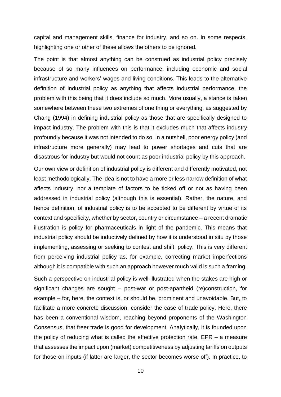capital and management skills, finance for industry, and so on. In some respects, highlighting one or other of these allows the others to be ignored.

The point is that almost anything can be construed as industrial policy precisely because of so many influences on performance, including economic and social infrastructure and workers' wages and living conditions. This leads to the alternative definition of industrial policy as anything that affects industrial performance, the problem with this being that it does include so much. More usually, a stance is taken somewhere between these two extremes of one thing or everything, as suggested by Chang (1994) in defining industrial policy as those that are specifically designed to impact industry. The problem with this is that it excludes much that affects industry profoundly because it was not intended to do so. In a nutshell, poor energy policy (and infrastructure more generally) may lead to power shortages and cuts that are disastrous for industry but would not count as poor industrial policy by this approach.

Our own view or definition of industrial policy is different and differently motivated, not least methodologically. The idea is not to have a more or less narrow definition of what affects industry, nor a template of factors to be ticked off or not as having been addressed in industrial policy (although this is essential). Rather, the nature, and hence definition, of industrial policy is to be accepted to be different by virtue of its context and specificity, whether by sector, country or circumstance – a recent dramatic illustration is policy for pharmaceuticals in light of the pandemic. This means that industrial policy should be inductively defined by how it is understood in situ by those implementing, assessing or seeking to contest and shift, policy. This is very different from perceiving industrial policy as, for example, correcting market imperfections although it is compatible with such an approach however much valid is such a framing.

Such a perspective on industrial policy is well-illustrated when the stakes are high or significant changes are sought – post-war or post-apartheid (re)construction, for example – for, here, the context is, or should be, prominent and unavoidable. But, to facilitate a more concrete discussion, consider the case of trade policy. Here, there has been a conventional wisdom, reaching beyond proponents of the Washington Consensus, that freer trade is good for development. Analytically, it is founded upon the policy of reducing what is called the effective protection rate, EPR – a measure that assesses the impact upon (market) competitiveness by adjusting tariffs on outputs for those on inputs (if latter are larger, the sector becomes worse off). In practice, to

10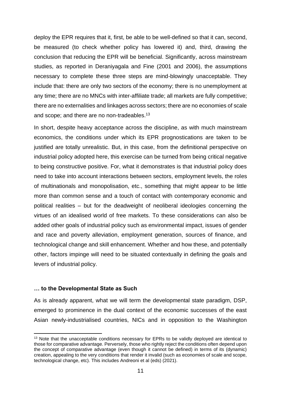deploy the EPR requires that it, first, be able to be well-defined so that it can, second, be measured (to check whether policy has lowered it) and, third, drawing the conclusion that reducing the EPR will be beneficial. Significantly, across mainstream studies, as reported in Deraniyagala and Fine (2001 and 2006), the assumptions necessary to complete these three steps are mind-blowingly unacceptable. They include that: there are only two sectors of the economy; there is no unemployment at any time; there are no MNCs with inter-affiliate trade; all markets are fully competitive; there are no externalities and linkages across sectors; there are no economies of scale and scope; and there are no non-tradeables.<sup>13</sup>

In short, despite heavy acceptance across the discipline, as with much mainstream economics, the conditions under which its EPR prognostications are taken to be justified are totally unrealistic. But, in this case, from the definitional perspective on industrial policy adopted here, this exercise can be turned from being critical negative to being constructive positive. For, what it demonstrates is that industrial policy does need to take into account interactions between sectors, employment levels, the roles of multinationals and monopolisation, etc., something that might appear to be little more than common sense and a touch of contact with contemporary economic and political realities – but for the deadweight of neoliberal ideologies concerning the virtues of an idealised world of free markets. To these considerations can also be added other goals of industrial policy such as environmental impact, issues of gender and race and poverty alleviation, employment generation, sources of finance, and technological change and skill enhancement. Whether and how these, and potentially other, factors impinge will need to be situated contextually in defining the goals and levers of industrial policy.

#### **… to the Developmental State as Such**

As is already apparent, what we will term the developmental state paradigm, DSP, emerged to prominence in the dual context of the economic successes of the east Asian newly-industrialised countries, NICs and in opposition to the Washington

<sup>&</sup>lt;sup>13</sup> Note that the unacceptable conditions necessary for EPRs to be validly deployed are identical to those for comparative advantage. Perversely, those who rightly reject the conditions often depend upon the concept of comparative advantage (even though it cannot be defined) in terms of its (dynamic) creation, appealing to the very conditions that render it invalid (such as economies of scale and scope, technological change, etc). This includes Andreoni et al (eds) (2021).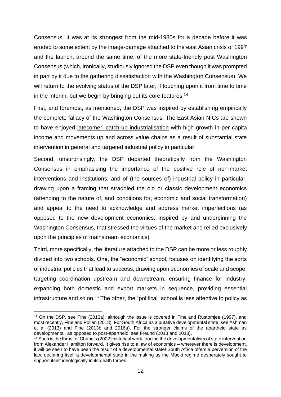Consensus. It was at its strongest from the mid-1980s for a decade before it was eroded to some extent by the image-damage attached to the east Asian crisis of 1997 and the launch, around the same time, of the more state-friendly post Washington Consensus (which, ironically, studiously ignored the DSP even though it was prompted in part by it due to the gathering dissatisfaction with the Washington Consensus). We will return to the evolving status of the DSP later, if touching upon it from time to time in the interim, but we begin by bringing out its core features.<sup>14</sup>

First, and foremost, as mentioned, the DSP was inspired by establishing empirically the complete fallacy of the Washington Consensus. The East Asian NICs are shown to have enjoyed latecomer, catch-up industrialisation with high growth in per capita income and movements up and across value chains as a result of substantial state intervention in general and targeted industrial policy in particular.

Second, unsurprisingly, the DSP departed theoretically from the Washington Consensus in emphasising the importance of the positive role of non-market interventions and institutions, and of (the sources of) industrial policy in particular, drawing upon a framing that straddled the old or classic development economics (attending to the nature of, and conditions for, economic and social transformation) and appeal to the need to acknowledge and address market imperfections (as opposed to the new development economics, inspired by and underpinning the Washington Consensus, that stressed the virtues of the market and relied exclusively upon the principles of mainstream economics).

Third, more specifically, the literature attached to the DSP can be more or less roughly divided into two schools. One, the "economic" school, focuses on identifying the sorts of industrial policies that lead to success, drawing upon economies of scale and scope, targeting coordination upstream and downstream, ensuring finance for industry, expanding both domestic and export markets in sequence, providing essential infrastructure and so on.<sup>15</sup> The other, the "political" school is less attentive to policy as

<sup>14</sup> On the DSP, see Fine (2013a), although the issue is covered in Fine and Rustomjee (1997), and most recently, Fine and Pollen (2018). For South Africa as a putative developmental state, see Ashman et al (2013) and Fine (2013b and 2016a). For the stronger claims of the apartheid state as developmental, as opposed to post-apartheid, see Freund (2013 and 2018).

<sup>15</sup> Such is the thrust of Chang's (2002) historical work, tracing the developmentalism of state intervention from Alexander Hamilton forward. It gives rise to a law of economics – wherever there is development, it will be seen to have been the result of a developmental state! South Africa offers a perversion of the law, declaring itself a developmental state in the making as the Mbeki regime desperately sought to support itself ideologically in its death throes.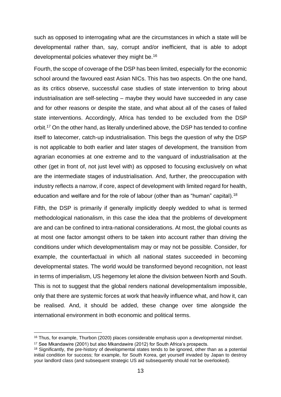such as opposed to interrogating what are the circumstances in which a state will be developmental rather than, say, corrupt and/or inefficient, that is able to adopt developmental policies whatever they might be.<sup>16</sup>

Fourth, the scope of coverage of the DSP has been limited, especially for the economic school around the favoured east Asian NICs. This has two aspects. On the one hand, as its critics observe, successful case studies of state intervention to bring about industrialisation are self-selecting – maybe they would have succeeded in any case and for other reasons or despite the state, and what about all of the cases of failed state interventions. Accordingly, Africa has tended to be excluded from the DSP orbit.<sup>17</sup> On the other hand, as literally underlined above, the DSP has tended to confine itself to latecomer, catch-up industrialisation. This begs the question of why the DSP is not applicable to both earlier and later stages of development, the transition from agrarian economies at one extreme and to the vanguard of industrialisation at the other (get in front of, not just level with) as opposed to focusing exclusively on what are the intermediate stages of industrialisation. And, further, the preoccupation with industry reflects a narrow, if core, aspect of development with limited regard for health, education and welfare and for the role of labour (other than as "human" capital).<sup>18</sup>

Fifth, the DSP is primarily if generally implicitly deeply wedded to what is termed methodological nationalism, in this case the idea that the problems of development are and can be confined to intra-national considerations. At most, the global counts as at most one factor amongst others to be taken into account rather than driving the conditions under which developmentalism may or may not be possible. Consider, for example, the counterfactual in which all national states succeeded in becoming developmental states. The world would be transformed beyond recognition, not least in terms of imperialism, US hegemony let alone the division between North and South. This is not to suggest that the global renders national developmentalism impossible, only that there are systemic forces at work that heavily influence what, and how it, can be realised. And, it should be added, these change over time alongside the international environment in both economic and political terms.

<sup>&</sup>lt;sup>16</sup> Thus, for example, Thurbon (2020) places considerable emphasis upon a developmental mindset.

<sup>17</sup> See Mkandawire (2001) but also Mkandawire (2012) for South Africa's prospects.

<sup>18</sup> Significantly, the pre-history of developmental states tends to be ignored, other than as a potential initial condition for success; for example, for South Korea, get yourself invaded by Japan to destroy your landlord class (and subsequent strategic US aid subsequently should not be overlooked).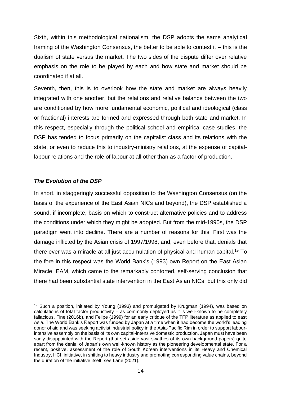Sixth, within this methodological nationalism, the DSP adopts the same analytical framing of the Washington Consensus, the better to be able to contest it – this is the dualism of state versus the market. The two sides of the dispute differ over relative emphasis on the role to be played by each and how state and market should be coordinated if at all.

Seventh, then, this is to overlook how the state and market are always heavily integrated with one another, but the relations and relative balance between the two are conditioned by how more fundamental economic, political and ideological (class or fractional) interests are formed and expressed through both state and market. In this respect, especially through the political school and empirical case studies, the DSP has tended to focus primarily on the capitalist class and its relations with the state, or even to reduce this to industry-ministry relations, at the expense of capitallabour relations and the role of labour at all other than as a factor of production.

# *The Evolution of the DSP*

In short, in staggeringly successful opposition to the Washington Consensus (on the basis of the experience of the East Asian NICs and beyond), the DSP established a sound, if incomplete, basis on which to construct alternative policies and to address the conditions under which they might be adopted. But from the mid-1990s, the DSP paradigm went into decline. There are a number of reasons for this. First was the damage inflicted by the Asian crisis of 1997/1998, and, even before that, denials that there ever was a miracle at all just accumulation of physical and human capital.<sup>19</sup> To the fore in this respect was the World Bank's (1993) own Report on the East Asian Miracle, EAM, which came to the remarkably contorted, self-serving conclusion that there had been substantial state intervention in the East Asian NICs, but this only did

<sup>&</sup>lt;sup>19</sup> Such a position, initiated by Young (1993) and promulgated by Krugman (1994), was based on calculations of total factor productivity – as commonly deployed as it is well-known to be completely fallacious, Fine (2016b), and Felipe (1999) for an early critique of the TFP literature as applied to east Asia. The World Bank's Report was funded by Japan at a time when it had become the world's leading donor of aid and was seeking activist industrial policy in the Asia-Pacific Rim in order to support labourintensive assembly on the basis of its own capital-intensive domestic production. Japan must have been sadly disappointed with the Report (that set aside vast swathes of its own background papers) quite apart from the denial of Japan's own well-known history as the pioneering developmental state. For a recent, positive, assessment of the role of South Korean interventions in its Heavy and Chemical Industry, HCI, initiative, in shifting to heavy industry and promoting corresponding value chains, beyond the duration of the initiative itself, see Lane (2021).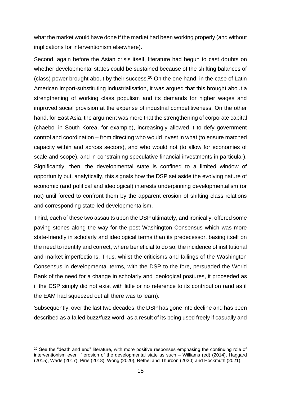what the market would have done if the market had been working properly (and without implications for interventionism elsewhere).

Second, again before the Asian crisis itself, literature had begun to cast doubts on whether developmental states could be sustained because of the shifting balances of (class) power brought about by their success. $20$  On the one hand, in the case of Latin American import-substituting industrialisation, it was argued that this brought about a strengthening of working class populism and its demands for higher wages and improved social provision at the expense of industrial competitiveness. On the other hand, for East Asia, the argument was more that the strengthening of corporate capital (chaebol in South Korea, for example), increasingly allowed it to defy government control and coordination – from directing who would invest in what (to ensure matched capacity within and across sectors), and who would not (to allow for economies of scale and scope), and in constraining speculative financial investments in particular). Significantly, then, the developmental state is confined to a limited window of opportunity but, analytically, this signals how the DSP set aside the evolving nature of economic (and political and ideological) interests underpinning developmentalism (or not) until forced to confront them by the apparent erosion of shifting class relations and corresponding state-led developmentalism.

Third, each of these two assaults upon the DSP ultimately, and ironically, offered some paving stones along the way for the post Washington Consensus which was more state-friendly in scholarly and ideological terms than its predecessor, basing itself on the need to identify and correct, where beneficial to do so, the incidence of institutional and market imperfections. Thus, whilst the criticisms and failings of the Washington Consensus in developmental terms, with the DSP to the fore, persuaded the World Bank of the need for a change in scholarly and ideological postures, it proceeded as if the DSP simply did not exist with little or no reference to its contribution (and as if the EAM had squeezed out all there was to learn).

Subsequently, over the last two decades, the DSP has gone into decline and has been described as a failed buzz/fuzz word, as a result of its being used freely if casually and

<sup>&</sup>lt;sup>20</sup> See the "death and end" literature, with more positive responses emphasing the continuing role of interventionism even if erosion of the developmental state as such – Williams (ed) (2014), Haggard (2015), Wade (2017), Pirie (2018), Wong (2020), Rethel and Thurbon (2020) and Hockmuth (2021).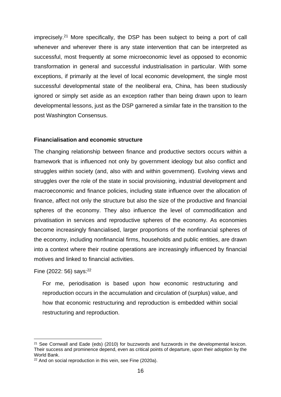imprecisely.<sup>21</sup> More specifically, the DSP has been subject to being a port of call whenever and wherever there is any state intervention that can be interpreted as successful, most frequently at some microeconomic level as opposed to economic transformation in general and successful industrialisation in particular. With some exceptions, if primarily at the level of local economic development, the single most successful developmental state of the neoliberal era, China, has been studiously ignored or simply set aside as an exception rather than being drawn upon to learn developmental lessons, just as the DSP garnered a similar fate in the transition to the post Washington Consensus.

## **Financialisation and economic structure**

The changing relationship between finance and productive sectors occurs within a framework that is influenced not only by government ideology but also conflict and struggles within society (and, also with and within government). Evolving views and struggles over the role of the state in social provisioning, industrial development and macroeconomic and finance policies, including state influence over the allocation of finance, affect not only the structure but also the size of the productive and financial spheres of the economy. They also influence the level of commodification and privatisation in services and reproductive spheres of the economy. As economies become increasingly financialised, larger proportions of the nonfinancial spheres of the economy, including nonfinancial firms, households and public entities, are drawn into a context where their routine operations are increasingly influenced by financial motives and linked to financial activities.

Fine  $(2022: 56)$  says: $^{22}$ 

For me, periodisation is based upon how economic restructuring and reproduction occurs in the accumulation and circulation of (surplus) value, and how that economic restructuring and reproduction is embedded within social restructuring and reproduction.

<sup>&</sup>lt;sup>21</sup> See Cornwall and Eade (eds) (2010) for buzzwords and fuzzwords in the developmental lexicon. Their success and prominence depend, even as critical points of departure, upon their adoption by the World Bank.

<sup>22</sup> And on social reproduction in this vein, see Fine (2020a).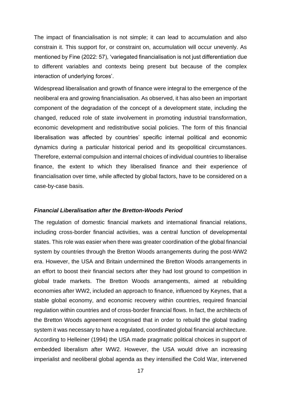The impact of financialisation is not simple; it can lead to accumulation and also constrain it. This support for, or constraint on, accumulation will occur unevenly. As mentioned by Fine (2022: 57), 'variegated financialisation is not just differentiation due to different variables and contexts being present but because of the complex interaction of underlying forces'.

Widespread liberalisation and growth of finance were integral to the emergence of the neoliberal era and growing financialisation. As observed, it has also been an important component of the degradation of the concept of a development state, including the changed, reduced role of state involvement in promoting industrial transformation, economic development and redistributive social policies. The form of this financial liberalisation was affected by countries' specific internal political and economic dynamics during a particular historical period and its geopolitical circumstances. Therefore, external compulsion and internal choices of individual countries to liberalise finance, the extent to which they liberalised finance and their experience of financialisation over time, while affected by global factors, have to be considered on a case-by-case basis.

#### *Financial Liberalisation after the Bretton-Woods Period*

The regulation of domestic financial markets and international financial relations, including cross-border financial activities, was a central function of developmental states. This role was easier when there was greater coordination of the global financial system by countries through the Bretton Woods arrangements during the post-WW2 era. However, the USA and Britain undermined the Bretton Woods arrangements in an effort to boost their financial sectors after they had lost ground to competition in global trade markets. The Bretton Woods arrangements, aimed at rebuilding economies after WW2, included an approach to finance, influenced by Keynes, that a stable global economy, and economic recovery within countries, required financial regulation within countries and of cross-border financial flows. In fact, the architects of the Bretton Woods agreement recognised that in order to rebuild the global trading system it was necessary to have a regulated, coordinated global financial architecture. According to Helleiner (1994) the USA made pragmatic political choices in support of embedded liberalism after WW2. However, the USA would drive an increasing imperialist and neoliberal global agenda as they intensified the Cold War, intervened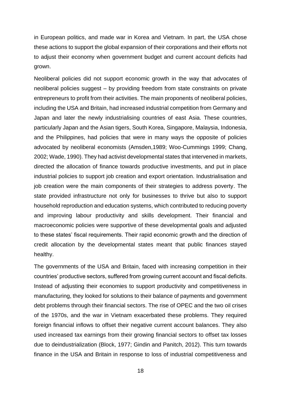in European politics, and made war in Korea and Vietnam. In part, the USA chose these actions to support the global expansion of their corporations and their efforts not to adjust their economy when government budget and current account deficits had grown.

Neoliberal policies did not support economic growth in the way that advocates of neoliberal policies suggest – by providing freedom from state constraints on private entrepreneurs to profit from their activities. The main proponents of neoliberal policies, including the USA and Britain, had increased industrial competition from Germany and Japan and later the newly industrialising countries of east Asia. These countries, particularly Japan and the Asian tigers, South Korea, Singapore, Malaysia, Indonesia, and the Philippines, had policies that were in many ways the opposite of policies advocated by neoliberal economists (Amsden,1989; Woo-Cummings 1999; Chang, 2002; Wade, 1990). They had activist developmental states that intervened in markets, directed the allocation of finance towards productive investments, and put in place industrial policies to support job creation and export orientation. Industrialisation and job creation were the main components of their strategies to address poverty. The state provided infrastructure not only for businesses to thrive but also to support household reproduction and education systems, which contributed to reducing poverty and improving labour productivity and skills development. Their financial and macroeconomic policies were supportive of these developmental goals and adjusted to these states' fiscal requirements. Their rapid economic growth and the direction of credit allocation by the developmental states meant that public finances stayed healthy.

The governments of the USA and Britain, faced with increasing competition in their countries' productive sectors, suffered from growing current account and fiscal deficits. Instead of adjusting their economies to support productivity and competitiveness in manufacturing, they looked for solutions to their balance of payments and government debt problems through their financial sectors. The rise of OPEC and the two oil crises of the 1970s, and the war in Vietnam exacerbated these problems. They required foreign financial inflows to offset their negative current account balances. They also used increased tax earnings from their growing financial sectors to offset tax losses due to deindustrialization (Block, 1977; Gindin and Panitch, 2012). This turn towards finance in the USA and Britain in response to loss of industrial competitiveness and

18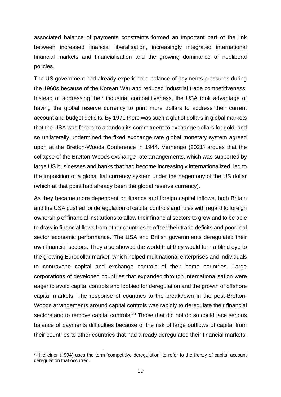associated balance of payments constraints formed an important part of the link between increased financial liberalisation, increasingly integrated international financial markets and financialisation and the growing dominance of neoliberal policies.

The US government had already experienced balance of payments pressures during the 1960s because of the Korean War and reduced industrial trade competitiveness. Instead of addressing their industrial competitiveness, the USA took advantage of having the global reserve currency to print more dollars to address their current account and budget deficits. By 1971 there was such a glut of dollars in global markets that the USA was forced to abandon its commitment to exchange dollars for gold, and so unilaterally undermined the fixed exchange rate global monetary system agreed upon at the Bretton-Woods Conference in 1944. Vernengo (2021) argues that the collapse of the Bretton-Woods exchange rate arrangements, which was supported by large US businesses and banks that had become increasingly internationalized, led to the imposition of a global fiat currency system under the hegemony of the US dollar (which at that point had already been the global reserve currency).

As they became more dependent on finance and foreign capital inflows, both Britain and the USA pushed for deregulation of capital controls and rules with regard to foreign ownership of financial institutions to allow their financial sectors to grow and to be able to draw in financial flows from other countries to offset their trade deficits and poor real sector economic performance. The USA and British governments deregulated their own financial sectors. They also showed the world that they would turn a blind eye to the growing Eurodollar market, which helped multinational enterprises and individuals to contravene capital and exchange controls of their home countries. Large corporations of developed countries that expanded through internationalisation were eager to avoid capital controls and lobbied for deregulation and the growth of offshore capital markets. The response of countries to the breakdown in the post-Bretton-Woods arrangements around capital controls was rapidly to deregulate their financial sectors and to remove capital controls.<sup>23</sup> Those that did not do so could face serious balance of payments difficulties because of the risk of large outflows of capital from their countries to other countries that had already deregulated their financial markets.

<sup>&</sup>lt;sup>23</sup> Helleiner (1994) uses the term 'competitive deregulation' to refer to the frenzy of capital account deregulation that occurred.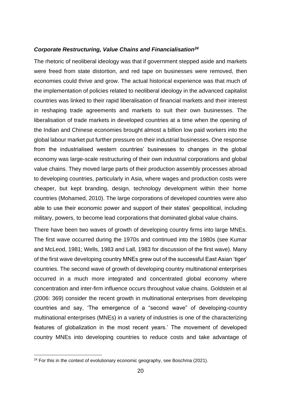#### *Corporate Restructuring, Value Chains and Financialisation<sup>24</sup>*

The rhetoric of neoliberal ideology was that if government stepped aside and markets were freed from state distortion, and red tape on businesses were removed, then economies could thrive and grow. The actual historical experience was that much of the implementation of policies related to neoliberal ideology in the advanced capitalist countries was linked to their rapid liberalisation of financial markets and their interest in reshaping trade agreements and markets to suit their own businesses. The liberalisation of trade markets in developed countries at a time when the opening of the Indian and Chinese economies brought almost a billion low paid workers into the global labour market put further pressure on their industrial businesses. One response from the industrialised western countries' businesses to changes in the global economy was large-scale restructuring of their own industrial corporations and global value chains. They moved large parts of their production assembly processes abroad to developing countries, particularly in Asia, where wages and production costs were cheaper, but kept branding, design, technology development within their home countries (Mohamed, 2010). The large corporations of developed countries were also able to use their economic power and support of their states' geopolitical, including military, powers, to become lead corporations that dominated global value chains.

There have been two waves of growth of developing country firms into large MNEs. The first wave occurred during the 1970s and continued into the 1980s (see Kumar and McLeod, 1981; Wells, 1983 and Lall, 1983 for discussion of the first wave). Many of the first wave developing country MNEs grew out of the successful East Asian 'tiger' countries. The second wave of growth of developing country multinational enterprises occurred in a much more integrated and concentrated global economy where concentration and inter-firm influence occurs throughout value chains. Goldstein et al (2006: 369) consider the recent growth in multinational enterprises from developing countries and say, 'The emergence of a "second wave" of developing-country multinational enterprises (MNEs) in a variety of industries is one of the characterizing features of globalization in the most recent years.' The movement of developed country MNEs into developing countries to reduce costs and take advantage of

 $24$  For this in the context of evolutionary economic geography, see Boschma (2021).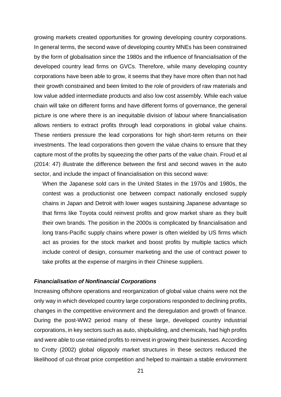growing markets created opportunities for growing developing country corporations. In general terms, the second wave of developing country MNEs has been constrained by the form of globalisation since the 1980s and the influence of financialisation of the developed country lead firms on GVCs. Therefore, while many developing country corporations have been able to grow, it seems that they have more often than not had their growth constrained and been limited to the role of providers of raw materials and low value added intermediate products and also low cost assembly. While each value chain will take on different forms and have different forms of governance, the general picture is one where there is an inequitable division of labour where financialisation allows rentiers to extract profits through lead corporations in global value chains. These rentiers pressure the lead corporations for high short-term returns on their investments. The lead corporations then govern the value chains to ensure that they capture most of the profits by squeezing the other parts of the value chain. Froud et al (2014: 47) illustrate the difference between the first and second waves in the auto sector, and include the impact of financialisation on this second wave:

When the Japanese sold cars in the United States in the 1970s and 1980s, the contest was a productionist one between compact nationally enclosed supply chains in Japan and Detroit with lower wages sustaining Japanese advantage so that firms like Toyota could reinvest profits and grow market share as they built their own brands. The position in the 2000s is complicated by financialisation and long trans-Pacific supply chains where power is often wielded by US firms which act as proxies for the stock market and boost profits by multiple tactics which include control of design, consumer marketing and the use of contract power to take profits at the expense of margins in their Chinese suppliers.

#### *Financialisation of Nonfinancial Corporations*

Increasing offshore operations and reorganization of global value chains were not the only way in which developed country large corporations responded to declining profits, changes in the competitive environment and the deregulation and growth of finance. During the post-WW2 period many of these large, developed country industrial corporations, in key sectors such as auto, shipbuilding, and chemicals, had high profits and were able to use retained profits to reinvest in growing their businesses. According to Crotty (2002) global oligopoly market structures in these sectors reduced the likelihood of cut-throat price competition and helped to maintain a stable environment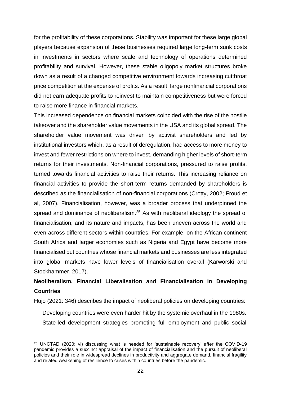for the profitability of these corporations. Stability was important for these large global players because expansion of these businesses required large long-term sunk costs in investments in sectors where scale and technology of operations determined profitability and survival. However, these stable oligopoly market structures broke down as a result of a changed competitive environment towards increasing cutthroat price competition at the expense of profits. As a result, large nonfinancial corporations did not earn adequate profits to reinvest to maintain competitiveness but were forced to raise more finance in financial markets.

This increased dependence on financial markets coincided with the rise of the hostile takeover and the shareholder value movements in the USA and its global spread. The shareholder value movement was driven by activist shareholders and led by institutional investors which, as a result of deregulation, had access to more money to invest and fewer restrictions on where to invest, demanding higher levels of short-term returns for their investments. Non-financial corporations, pressured to raise profits, turned towards financial activities to raise their returns. This increasing reliance on financial activities to provide the short-term returns demanded by shareholders is described as the financialisation of non-financial corporations (Crotty, 2002; Froud et al, 2007). Financialisation, however, was a broader process that underpinned the spread and dominance of neoliberalism.<sup>25</sup> As with neoliberal ideology the spread of financialisation, and its nature and impacts, has been uneven across the world and even across different sectors within countries. For example, on the African continent South Africa and larger economies such as Nigeria and Egypt have become more financialised but countries whose financial markets and businesses are less integrated into global markets have lower levels of financialisation overall (Karworski and Stockhammer, 2017).

# **Neoliberalism, Financial Liberalisation and Financialisation in Developing Countries**

Hujo (2021: 346) describes the impact of neoliberal policies on developing countries:

Developing countries were even harder hit by the systemic overhaul in the 1980s. State-led development strategies promoting full employment and public social

<sup>&</sup>lt;sup>25</sup> UNCTAD (2020: vi) discussing what is needed for 'sustainable recovery' after the COVID-19 pandemic provides a succinct appraisal of the impact of financialisation and the pursuit of neoliberal policies and their role in widespread declines in productivity and aggregate demand, financial fragility and related weakening of resilience to crises within countries before the pandemic.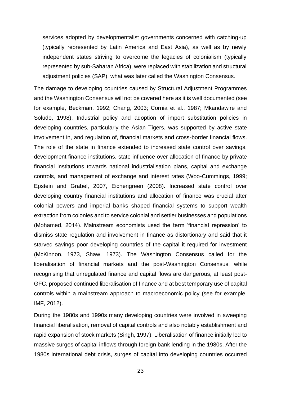services adopted by developmentalist governments concerned with catching-up (typically represented by Latin America and East Asia), as well as by newly independent states striving to overcome the legacies of colonialism (typically represented by sub-Saharan Africa), were replaced with stabilization and structural adjustment policies (SAP), what was later called the Washington Consensus.

The damage to developing countries caused by Structural Adjustment Programmes and the Washington Consensus will not be covered here as it is well documented (see for example, Beckman, 1992; Chang, 2003; Cornia et al., 1987; Mkandawire and Soludo, 1998). Industrial policy and adoption of import substitution policies in developing countries, particularly the Asian Tigers, was supported by active state involvement in, and regulation of, financial markets and cross-border financial flows. The role of the state in finance extended to increased state control over savings, development finance institutions, state influence over allocation of finance by private financial institutions towards national industrialisation plans, capital and exchange controls, and management of exchange and interest rates (Woo-Cummings, 1999; Epstein and Grabel, 2007, Eichengreen (2008). Increased state control over developing country financial institutions and allocation of finance was crucial after colonial powers and imperial banks shaped financial systems to support wealth extraction from colonies and to service colonial and settler businesses and populations (Mohamed, 2014). Mainstream economists used the term 'financial repression' to dismiss state regulation and involvement in finance as distortionary and said that it starved savings poor developing countries of the capital it required for investment (McKinnon, 1973, Shaw, 1973). The Washington Consensus called for the liberalisation of financial markets and the post-Washington Consensus, while recognising that unregulated finance and capital flows are dangerous, at least post-GFC, proposed continued liberalisation of finance and at best temporary use of capital controls within a mainstream approach to macroeconomic policy (see for example, IMF, 2012).

During the 1980s and 1990s many developing countries were involved in sweeping financial liberalisation, removal of capital controls and also notably establishment and rapid expansion of stock markets (Singh, 1997). Liberalisation of finance initially led to massive surges of capital inflows through foreign bank lending in the 1980s. After the 1980s international debt crisis, surges of capital into developing countries occurred

23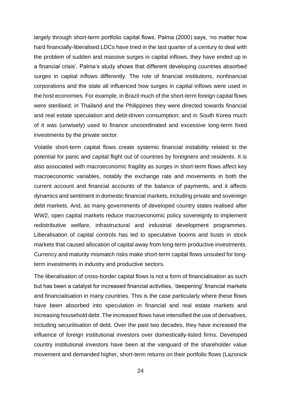largely through short-term portfolio capital flows. Palma (2000) says, 'no matter how hard financially-liberalised LDCs have tried in the last quarter of a century to deal with the problem of sudden and massive surges in capital inflows, they have ended up in a financial crisis'. Palma's study shows that different developing countries absorbed surges in capital inflows differently. The role of financial institutions, nonfinancial corporations and the state all influenced how surges in capital inflows were used in the host economies. For example, in Brazil much of the short-term foreign capital flows were sterilised; in Thailand and the Philippines they were directed towards financial and real estate speculation and debt-driven consumption; and in South Korea much of it was (unwisely) used to finance uncoordinated and excessive long-term fixed investments by the private sector.

Volatile short-term capital flows create systemic financial instability related to the potential for panic and capital flight out of countries by foreigners and residents. It is also associated with macroeconomic fragility as surges in short-term flows affect key macroeconomic variables, notably the exchange rate and movements in both the current account and financial accounts of the balance of payments, and it affects dynamics and sentiment in domestic financial markets, including private and sovereign debt markets. And, as many governments of developed country states realised after WW2, open capital markets reduce macroeconomic policy sovereignty to implement redistributive welfare, infrastructural and industrial development programmes. Liberalisation of capital controls has led to speculative booms and busts in stock markets that caused allocation of capital away from long-term productive investments. Currency and maturity mismatch risks make short-term capital flows unsuited for longterm investments in industry and productive sectors.

The liberalisation of cross-border capital flows is not a form of financialisation as such but has been a catalyst for increased financial activities, 'deepening' financial markets and financialisation in many countries. This is the case particularly where these flows have been absorbed into speculation in financial and real estate markets and increasing household debt. The increased flows have intensified the use of derivatives, including securitisation of debt. Over the past two decades, they have increased the influence of foreign institutional investors over domestically-listed firms. Developed country institutional investors have been at the vanguard of the shareholder value movement and demanded higher, short-term returns on their portfolio flows (Lazonick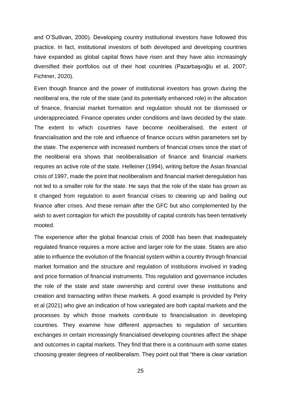and O'Sullivan, 2000). Developing country institutional investors have followed this practice. In fact, institutional investors of both developed and developing countries have expanded as global capital flows have risen and they have also increasingly diversified their portfolios out of their host countries (Pazarbaşıoğlu et al, 2007; Fichtner, 2020).

Even though finance and the power of institutional investors has grown during the neoliberal era, the role of the state (and its potentially enhanced role) in the allocation of finance, financial market formation and regulation should not be dismissed or underappreciated. Finance operates under conditions and laws decided by the state. The extent to which countries have become neoliberalised, the extent of financialisation and the role and influence of finance occurs within parameters set by the state. The experience with increased numbers of financial crises since the start of the neoliberal era shows that neoliberalisation of finance and financial markets requires an active role of the state. Helleiner (1994), writing before the Asian financial crisis of 1997, made the point that neoliberalism and financial market deregulation has not led to a smaller role for the state. He says that the role of the state has grown as it changed from regulation to avert financial crises to cleaning up and bailing out finance after crises. And these remain after the GFC but also complemented by the wish to avert contagion for which the possibility of capital controls has been tentatively mooted.

The experience after the global financial crisis of 2008 has been that inadequately regulated finance requires a more active and larger role for the state. States are also able to influence the evolution of the financial system within a country through financial market formation and the structure and regulation of institutions involved in trading and price formation of financial instruments. This regulation and governance includes the role of the state and state ownership and control over these institutions and creation and transacting within these markets. A good example is provided by Petry et al (2021) who give an indication of how variegated are both capital markets and the processes by which those markets contribute to financialisation in developing countries. They examine how different approaches to regulation of securities exchanges in certain increasingly financialised developing countries affect the shape and outcomes in capital markets. They find that there is a continuum with some states choosing greater degrees of neoliberalism. They point out that "there is clear variation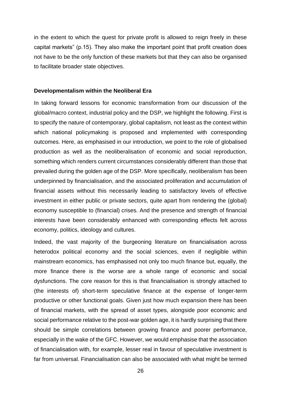in the extent to which the quest for private profit is allowed to reign freely in these capital markets" (p.15). They also make the important point that profit creation does not have to be the only function of these markets but that they can also be organised to facilitate broader state objectives.

#### **Developmentalism within the Neoliberal Era**

In taking forward lessons for economic transformation from our discussion of the global/macro context, industrial policy and the DSP, we highlight the following. First is to specify the nature of contemporary, global capitalism, not least as the context within which national policymaking is proposed and implemented with corresponding outcomes. Here, as emphasised in our introduction, we point to the role of globalised production as well as the neoliberalisation of economic and social reproduction, something which renders current circumstances considerably different than those that prevailed during the golden age of the DSP. More specifically, neoliberalism has been underpinned by financialisation, and the associated proliferation and accumulation of financial assets without this necessarily leading to satisfactory levels of effective investment in either public or private sectors, quite apart from rendering the (global) economy susceptible to (financial) crises. And the presence and strength of financial interests have been considerably enhanced with corresponding effects felt across economy, politics, ideology and cultures.

Indeed, the vast majority of the burgeoning literature on financialisation across heterodox political economy and the social sciences, even if negligible within mainstream economics, has emphasised not only too much finance but, equally, the more finance there is the worse are a whole range of economic and social dysfunctions. The core reason for this is that financialisation is strongly attached to (the interests of) short-term speculative finance at the expense of longer-term productive or other functional goals. Given just how much expansion there has been of financial markets, with the spread of asset types, alongside poor economic and social performance relative to the post-war golden age, it is hardly surprising that there should be simple correlations between growing finance and poorer performance, especially in the wake of the GFC. However, we would emphasise that the association of financialisation with, for example, lesser real in favour of speculative investment is far from universal. Financialisation can also be associated with what might be termed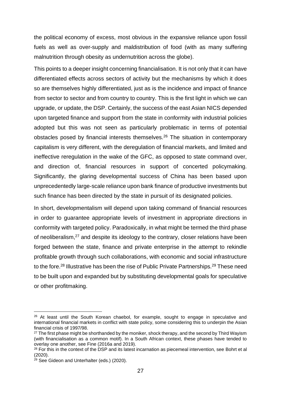the political economy of excess, most obvious in the expansive reliance upon fossil fuels as well as over-supply and maldistribution of food (with as many suffering malnutrition through obesity as undernutrition across the globe).

This points to a deeper insight concerning financialisation. It is not only that it can have differentiated effects across sectors of activity but the mechanisms by which it does so are themselves highly differentiated, just as is the incidence and impact of finance from sector to sector and from country to country. This is the first light in which we can upgrade, or update, the DSP. Certainly, the success of the east Asian NICS depended upon targeted finance and support from the state in conformity with industrial policies adopted but this was not seen as particularly problematic in terms of potential obstacles posed by financial interests themselves.<sup>26</sup> The situation in contemporary capitalism is very different, with the deregulation of financial markets, and limited and ineffective reregulation in the wake of the GFC, as opposed to state command over, and direction of, financial resources in support of concerted policymaking. Significantly, the glaring developmental success of China has been based upon unprecedentedly large-scale reliance upon bank finance of productive investments but such finance has been directed by the state in pursuit of its designated policies.

In short, developmentalism will depend upon taking command of financial resources in order to guarantee appropriate levels of investment in appropriate directions in conformity with targeted policy. Paradoxically, in what might be termed the third phase of neoliberalism,<sup>27</sup> and despite its ideology to the contrary, closer relations have been forged between the state, finance and private enterprise in the attempt to rekindle profitable growth through such collaborations, with economic and social infrastructure to the fore.<sup>28</sup> Illustrative has been the rise of Public Private Partnerships.<sup>29</sup> These need to be built upon and expanded but by substituting developmental goals for speculative or other profitmaking.

<sup>&</sup>lt;sup>26</sup> At least until the South Korean chaebol, for example, sought to engage in speculative and international financial markets in conflict with state policy, some considering this to underpin the Asian financial crisis of 1997/98.

 $27$  The first phase might be shorthanded by the moniker, shock therapy, and the second by Third Wayism (with financialisation as a common motif). In a South African context, these phases have tended to overlay one another, see Fine (2016a and 2019).

<sup>&</sup>lt;sup>28</sup> For this in the context of the DSP and its latest incarnation as piecemeal intervention, see Bohrt et al (2020).

 $29$  See Gideon and Unterhalter (eds.) (2020).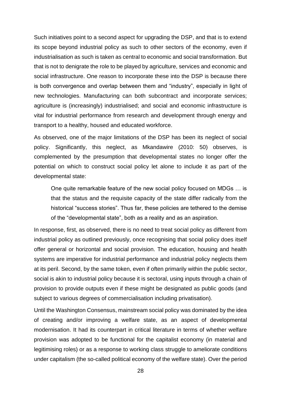Such initiatives point to a second aspect for upgrading the DSP, and that is to extend its scope beyond industrial policy as such to other sectors of the economy, even if industrialisation as such is taken as central to economic and social transformation. But that is not to denigrate the role to be played by agriculture, services and economic and social infrastructure. One reason to incorporate these into the DSP is because there is both convergence and overlap between them and "industry", especially in light of new technologies. Manufacturing can both subcontract and incorporate services; agriculture is (increasingly) industrialised; and social and economic infrastructure is vital for industrial performance from research and development through energy and transport to a healthy, housed and educated workforce.

As observed, one of the major limitations of the DSP has been its neglect of social policy. Significantly, this neglect, as Mkandawire (2010: 50) observes, is complemented by the presumption that developmental states no longer offer the potential on which to construct social policy let alone to include it as part of the developmental state:

One quite remarkable feature of the new social policy focused on MDGs … is that the status and the requisite capacity of the state differ radically from the historical "success stories". Thus far, these policies are tethered to the demise of the "developmental state", both as a reality and as an aspiration.

In response, first, as observed, there is no need to treat social policy as different from industrial policy as outlined previously, once recognising that social policy does itself offer general or horizontal and social provision. The education, housing and health systems are imperative for industrial performance and industrial policy neglects them at its peril. Second, by the same token, even if often primarily within the public sector, social is akin to industrial policy because it is sectoral, using inputs through a chain of provision to provide outputs even if these might be designated as public goods (and subject to various degrees of commercialisation including privatisation).

Until the Washington Consensus, mainstream social policy was dominated by the idea of creating and/or improving a welfare state, as an aspect of developmental modernisation. It had its counterpart in critical literature in terms of whether welfare provision was adopted to be functional for the capitalist economy (in material and legitimising roles) or as a response to working class struggle to ameliorate conditions under capitalism (the so-called political economy of the welfare state). Over the period

28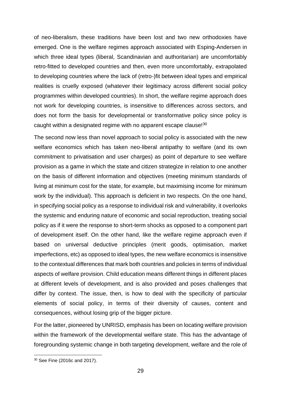of neo-liberalism, these traditions have been lost and two new orthodoxies have emerged. One is the welfare regimes approach associated with Esping-Andersen in which three ideal types (liberal, Scandinavian and authoritarian) are uncomfortably retro-fitted to developed countries and then, even more uncomfortably, extrapolated to developing countries where the lack of (retro-)fit between ideal types and empirical realities is cruelly exposed (whatever their legitimacy across different social policy programmes within developed countries). In short, the welfare regime approach does not work for developing countries, is insensitive to differences across sectors, and does not form the basis for developmental or transformative policy since policy is caught within a designated regime with no apparent escape clause!<sup>30</sup>

The second now less than novel approach to social policy is associated with the new welfare economics which has taken neo-liberal antipathy to welfare (and its own commitment to privatisation and user charges) as point of departure to see welfare provision as a game in which the state and citizen strategize in relation to one another on the basis of different information and objectives (meeting minimum standards of living at minimum cost for the state, for example, but maximising income for minimum work by the individual). This approach is deficient in two respects. On the one hand, in specifying social policy as a response to individual risk and vulnerability, it overlooks the systemic and enduring nature of economic and social reproduction, treating social policy as if it were the response to short-term shocks as opposed to a component part of development itself. On the other hand, like the welfare regime approach even if based on universal deductive principles (merit goods, optimisation, market imperfections, etc) as opposed to ideal types, the new welfare economics is insensitive to the contextual differences that mark both countries and policies in terms of individual aspects of welfare provision. Child education means different things in different places at different levels of development, and is also provided and poses challenges that differ by context. The issue, then, is how to deal with the specificity of particular elements of social policy, in terms of their diversity of causes, content and consequences, without losing grip of the bigger picture.

For the latter, pioneered by UNRISD, emphasis has been on locating welfare provision within the framework of the developmental welfare state. This has the advantage of foregrounding systemic change in both targeting development, welfare and the role of

<sup>30</sup> See Fine (2016c and 2017).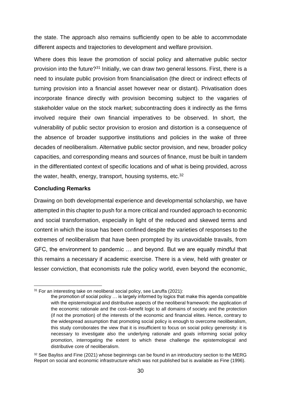the state. The approach also remains sufficiently open to be able to accommodate different aspects and trajectories to development and welfare provision.

Where does this leave the promotion of social policy and alternative public sector provision into the future?<sup>31</sup> Initially, we can draw two general lessons. First, there is a need to insulate public provision from financialisation (the direct or indirect effects of turning provision into a financial asset however near or distant). Privatisation does incorporate finance directly with provision becoming subject to the vagaries of stakeholder value on the stock market; subcontracting does it indirectly as the firms involved require their own financial imperatives to be observed. In short, the vulnerability of public sector provision to erosion and distortion is a consequence of the absence of broader supportive institutions and policies in the wake of three decades of neoliberalism. Alternative public sector provision, and new, broader policy capacities, and corresponding means and sources of finance, must be built in tandem in the differentiated context of specific locations and of what is being provided, across the water, health, energy, transport, housing systems, etc.<sup>32</sup>

# **Concluding Remarks**

Drawing on both developmental experience and developmental scholarship, we have attempted in this chapter to push for a more critical and rounded approach to economic and social transformation, especially in light of the reduced and skewed terms and content in which the issue has been confined despite the varieties of responses to the extremes of neoliberalism that have been prompted by its unavoidable travails, from GFC, the environment to pandemic … and beyond. But we are equally mindful that this remains a necessary if academic exercise. There is a view, held with greater or lesser conviction, that economists rule the policy world, even beyond the economic,

 $31$  For an interesting take on neoliberal social policy, see Laruffa (2021):

the promotion of social policy … is largely informed by logics that make this agenda compatible with the epistemological and distributive aspects of the neoliberal framework: the application of the economic rationale and the cost–benefit logic to all domains of society and the protection (if not the promotion) of the interests of the economic and financial elites. Hence, contrary to the widespread assumption that promoting social policy is enough to overcome neoliberalism, this study corroborates the view that it is insufficient to focus on social policy generosity: it is necessary to investigate also the underlying rationale and goals informing social policy promotion, interrogating the extent to which these challenge the epistemological and distributive core of neoliberalism.

<sup>&</sup>lt;sup>32</sup> See Bayliss and Fine (2021) whose beginnings can be found in an introductory section to the MERG Report on social and economic infrastructure which was not published but is available as Fine (1996).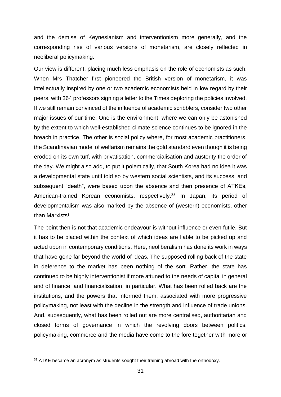and the demise of Keynesianism and interventionism more generally, and the corresponding rise of various versions of monetarism, are closely reflected in neoliberal policymaking.

Our view is different, placing much less emphasis on the role of economists as such. When Mrs Thatcher first pioneered the British version of monetarism, it was intellectually inspired by one or two academic economists held in low regard by their peers, with 364 professors signing a letter to the Times deploring the policies involved. If we still remain convinced of the influence of academic scribblers, consider two other major issues of our time. One is the environment, where we can only be astonished by the extent to which well-established climate science continues to be ignored in the breach in practice. The other is social policy where, for most academic practitioners, the Scandinavian model of welfarism remains the gold standard even though it is being eroded on its own turf, with privatisation, commercialisation and austerity the order of the day. We might also add, to put it polemically, that South Korea had no idea it was a developmental state until told so by western social scientists, and its success, and subsequent "death", were based upon the absence and then presence of ATKEs, American-trained Korean economists, respectively.<sup>33</sup> In Japan, its period of developmentalism was also marked by the absence of (western) economists, other than Marxists!

The point then is not that academic endeavour is without influence or even futile. But it has to be placed within the context of which ideas are liable to be picked up and acted upon in contemporary conditions. Here, neoliberalism has done its work in ways that have gone far beyond the world of ideas. The supposed rolling back of the state in deference to the market has been nothing of the sort. Rather, the state has continued to be highly interventionist if more attuned to the needs of capital in general and of finance, and financialisation, in particular. What has been rolled back are the institutions, and the powers that informed them, associated with more progressive policymaking, not least with the decline in the strength and influence of trade unions. And, subsequently, what has been rolled out are more centralised, authoritarian and closed forms of governance in which the revolving doors between politics, policymaking, commerce and the media have come to the fore together with more or

<sup>33</sup> ATKE became an acronym as students sought their training abroad with the orthodoxy.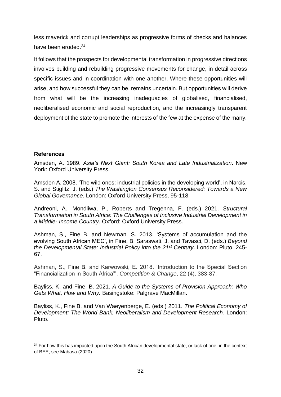less maverick and corrupt leaderships as progressive forms of checks and balances have been eroded.<sup>34</sup>

It follows that the prospects for developmental transformation in progressive directions involves building and rebuilding progressive movements for change, in detail across specific issues and in coordination with one another. Where these opportunities will arise, and how successful they can be, remains uncertain. But opportunities will derive from what will be the increasing inadequacies of globalised, financialised, neoliberalised economic and social reproduction, and the increasingly transparent deployment of the state to promote the interests of the few at the expense of the many.

# **References**

Amsden, A. 1989. *Asia's Next Giant: South Korea and Late Industrialization*. New York: Oxford University Press.

Amsden A. 2008. 'The wild ones: industrial policies in the developing world', in Narcis, S. and Stiglitz, J. (eds.) *The Washington Consensus Reconsidered: Towards a New Global Governance*. London: Oxford University Press, 95-118.

Andreoni, A., Mondliwa, P., Roberts and Tregenna, F. (eds.) 2021. *Structural Transformation in South Africa: The Challenges of Inclusive Industrial Development in a Middle- Income Country*. Oxford: Oxford University Press.

Ashman, S., Fine B. and Newman. S. 2013. 'Systems of accumulation and the evolving South African MEC', in Fine, B. Saraswati, J. and Tavasci, D. (eds.) *Beyond the Developmental State: Industrial Policy into the 21st Century*. London: Pluto, 245- 67.

Ashman, S., Fine B. and Karwowski, E. 2018. 'Introduction to the Special Section "Financialization in South Africa"'. *Competition & Change*, 22 (4), 383-87.

Bayliss, K. and Fine, B. 2021. *A Guide to the Systems of Provision Approach: Who Gets What, How and Why.* Basingstoke: Palgrave MacMillan.

Bayliss, K., Fine B. and Van Waeyenberge, E. (eds.) 2011. *The Political Economy of Development: The World Bank, Neoliberalism and Development Research*. London: Pluto.

<sup>&</sup>lt;sup>34</sup> For how this has impacted upon the South African developmental state, or lack of one, in the context of BEE, see Mabasa (2020).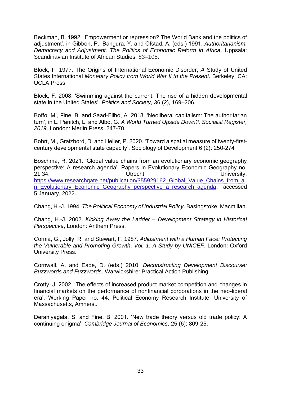Beckman, B. 1992. 'Empowerment or repression? The World Bank and the politics of adjustment', in Gibbon, P., Bangura, Y. and Ofstad, A. (eds.) 1991. *Authoritarianism, Democracy and Adjustment. The Politics of Economic Reform in Africa*. Uppsala: Scandinavian Institute of African Studies, 83–105.

Block, F. 1977. The Origins of International Economic Disorder; *A* Study of United States International *Monetary Policy from World War II to the Present.* Berkeley, CA: UCLA Press.

Block, F. 2008. 'Swimming against the current: The rise of a hidden developmental state in the United States'. *Politics and Society*, 36 (2), 169–206.

Boffo, M., Fine, B. and Saad-Filho, A. 2018. 'Neoliberal capitalism: The authoritarian turn', in L. Panitch, L. and Albo, G. *A World Turned Upside Down?, Socialist Register, 2019,* London: Merlin Press, 247-70.

Bohrt, M., Graizbord, D. and Heller, P. 2020. 'Toward a spatial measure of twenty-firstcentury developmental state capacity'. Sociology of Development 6 (2): 250-274

Boschma, R. 2021. 'Global value chains from an evolutionary economic geography perspective: A research agenda'. Papers in Evolutionary Economic Geography no. 21.34, Utrecht University. [https://www.researchgate.net/publication/355929162\\_Global\\_Value\\_Chains\\_from\\_a](https://www.researchgate.net/publication/355929162_Global_Value_Chains_from_an_Evolutionary_Economic_Geography_perspective_a_research_agenda) [n\\_Evolutionary\\_Economic\\_Geography\\_perspective\\_a\\_research\\_agenda,](https://www.researchgate.net/publication/355929162_Global_Value_Chains_from_an_Evolutionary_Economic_Geography_perspective_a_research_agenda) accessed 5 January, 2022.

Chang, H.-J. 1994. *The Political Economy of Industrial Policy*. Basingstoke: Macmillan.

Chang, H.-J. 2002. *Kicking Away the Ladder – Development Strategy in Historical Perspective*, London: Anthem Press.

Cornia, G., Jolly, R. and Stewart, F. 1987. *Adjustment with a Human Face: Protecting the Vulnerable and Promoting Growth*. *Vol. 1: A Study by UNICEF*. London: Oxford University Press.

Cornwall, A. and Eade, D. (eds.) 2010. *Deconstructing Development Discourse: Buzzwords and Fuzzwords*. Warwickshire: Practical Action Publishing.

Crotty, J. 2002. 'The effects of increased product market competition and changes in financial markets on the performance of nonfinancial corporations in the neo-liberal era'. Working Paper no. 44, Political Economy Research Institute, University of Massachusetts, Amherst.

Deraniyagala, S. and Fine. B. 2001. 'New trade theory versus old trade policy: A continuing enigma'. *Cambridge Journal of Economics*, 25 (6): 809-25.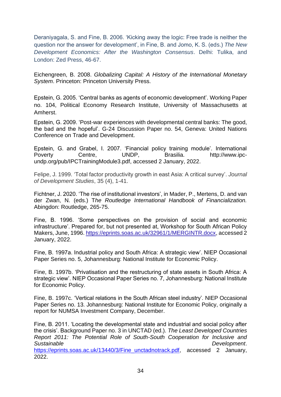Deraniyagala, S. and Fine, B. 2006. 'Kicking away the logic: Free trade is neither the question nor the answer for development', in Fine, B. and Jomo, K. S. (eds.) *The New Development Economics: After the Washington Consensus*. Delhi: Tulika, and London: Zed Press, 46-67.

Eichengreen, B. 2008. *Globalizing Capital: A History of the International Monetary System*. Princeton: Princeton University Press.

Epstein, G. 2005. 'Central banks as agents of economic development'. Working Paper no. 104, Political Economy Research Institute, University of Massachusetts at Amherst.

Epstein, G. 2009. 'Post-war experiences with developmental central banks: The good, the bad and the hopeful'. G-24 Discussion Paper no. 54, Geneva: United Nations Conference on Trade and Development.

Epstein, G. and Grabel, I. 2007. 'Financial policy training module'. International Poverty Centre, UNDP, Brasilia. [http://www.ipc](http://www.ipc-undp.org/pub/IPCTrainingModule3.pdf)[undp.org/pub/IPCTrainingModule3.pdf,](http://www.ipc-undp.org/pub/IPCTrainingModule3.pdf) accessed 2 January, 2022.

Felipe, J. 1999. 'Total factor productivity growth in east Asia: A critical survey'. *Journal of Development Studies*, 35 (4), 1-41.

Fichtner, J. 2020. 'The rise of institutional investors', in Mader, P., Mertens, D. and van der Zwan, N. (eds.) T*he Routledge International Handbook of Financialization.* Abingdon: Routledge, 265-75.

Fine, B. 1996. 'Some perspectives on the provision of social and economic infrastructure'. Prepared for, but not presented at, Workshop for South African Policy Makers, June, 1996. [https://eprints.soas.ac.uk/32961/1/MERGINTR.docx,](https://eprints.soas.ac.uk/32961/1/MERGINTR.docx) accessed 2 January, 2022.

Fine, B. 1997a. Industrial policy and South Africa: A strategic view'. NIEP Occasional Paper Series no. 5, Johannesburg: National Institute for Economic Policy.

Fine, B. 1997b. 'Privatisation and the restructuring of state assets in South Africa: A strategic view'. NIEP Occasional Paper Series no. 7, Johannesburg: National Institute for Economic Policy.

Fine, B. 1997c. 'Vertical relations in the South African steel industry'. NIEP Occasional Paper Series no. 13. Johannesburg: National Institute for Economic Policy, originally a report for NUMSA Investment Company, December.

Fine, B. 2011. 'Locating the developmental state and industrial and social policy after the crisis'. Background Paper no. 3 in UNCTAD (ed.). *The Least Developed Countries Report 2011: The Potential Role of South-South Cooperation for Inclusive and*  **Sustainable Development. Constant Development Development**. [https://eprints.soas.ac.uk/13440/3/Fine\\_unctadnotrack.pdf,](https://eprints.soas.ac.uk/13440/3/Fine_unctadnotrack.pdf) accessed 2 January, 2022.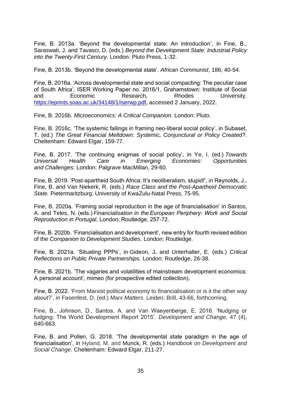Fine, B. 2013a. 'Beyond the developmental state: An introduction', in Fine, B., Saraswati, J. and Tavasci, D. (eds.) *Beyond the Development State: Industrial Policy into the Twenty-First Century.* London: Pluto Press, 1-32.

Fine, B. 2013b. 'Beyond the developmental state'. *African Communist*, 186, 40-54.

Fine, B. 2016a. 'Across developmental state and social compacting: The peculiar case of South Africa'. ISER Working Paper no. 2016/1. Grahamstown: Institute of Social and Economic Research, Rhodes University. [https://eprints.soas.ac.uk/34148/1/iserwp.pdf,](https://eprints.soas.ac.uk/34148/1/iserwp.pdf) accessed 2 January, 2022.

Fine, B. 2016b. *Microeconomics: A Critical Companion.* London: Pluto.

Fine, B. 2016c. 'The systemic failings in framing neo-liberal social policy', in Subaset, T. (ed.) *The Great Financial Meltdown: Systemic, Conjunctural or Policy Created?*. Cheltenham: Edward Elgar, 159-77.

Fine, B. 2017. 'The continuing enigmas of social policy', in Ye, I. (ed.) *Towards Universal Health Care in Emerging Economies: Opportunities and Challenges.* London: Palgrave MacMillan, 29-60.

Fine, B. 2019. 'Post-apartheid South Africa: It's neoliberalism, stupid!', in Reynolds, J., Fine, B. and Van Niekerk, R. (eds.) *Race Class and the Post-Apartheid Democratic State.* Pietermaritzburg: University of KwaZulu-Natal Press, 75-95.

Fine, B. 2020a. 'Framing social reproduction in the age of financialisation' in Santos, A. and Teles, N. (eds.) *Financialisation in the European Periphery: Work and Social Reproduction in Portugal*, London: Routledge, 257-72.

Fine, B. 2020b. 'Financialisation and development', new entry for fourth revised edition of the *Companion to Development Studies*. London: Routledge.

Fine, B. 2021a. 'Situating PPPs', in Gideon, J**.** and Unterhalter, E. (eds.) *Critical Reflections on Public Private Partnerships.* London: Routledge, 26-38.

Fine, B. 2021b. 'The vagaries and volatilities of mainstream development economics: A personal account', mimeo (for prospective edited collection).

Fine, B. 2022. 'From Marxist political economy to financialisation or is it the other way about?', in Fasenfest, D. (ed.) *Marx Matters*. Leiden: Brill, 43-66, forthcoming.

Fine, B., Johnson, D., Santos, A. and Van Waeyenberge, E. 2016. 'Nudging or fudging: The World Development Report 2015'. *Development and Change*, 47 (4), 640-663.

Fine, B. and Pollen, G. 2018. 'The developmental state paradigm in the age of financialisation', in Hyland, M. and Munck, R. (eds.) *Handbook on Development and Social Change*. Cheltenham: Edward Elgar, 211-27.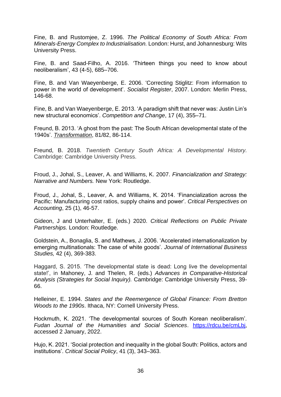Fine, B. and Rustomjee, Z. 1996. *The Political Economy of South Africa: From Minerals-Energy Complex to Industrialisation.* London: Hurst, and Johannesburg: Wits University Press.

Fine, B. and Saad-Filho, A. 2016. 'Thirteen things you need to know about neoliberalism', 43 (4-5), 685–706.

Fine, B. and Van Waeyenberge, E. 2006. 'Correcting Stiglitz: From information to power in the world of development'. *Socialist Register*, 2007. London: Merlin Press, 146-68.

Fine, B. and Van Waeyenberge, E. 2013. 'A paradigm shift that never was: Justin Lin's new structural economics'. *Competition and Change*, 17 (4), 355–71.

Freund, B. 2013. 'A ghost from the past: The South African developmental state of the 1940s'. *[Transformation](https://muse.jhu.edu/search?action=browse&limit=publisher_id:99)*, 81/82, 86-114.

Freund, B. 2018. *Twentieth Century South Africa: A Developmental History.* Cambridge: Cambridge University Press.

Froud, J., Johal, S., Leaver, A. and Williams, K. 2007. *Financialization and Strategy: Narrative and Numbers.* New York: Routledge.

Froud, J., Johal, S., Leaver, A. and Williams, K. 2014. 'Financialization across the Pacific: Manufacturing cost ratios, supply chains and power'. *Critical Perspectives on Accounting*, 25 (1), 46-57.

Gideon, J and Unterhalter, E. (eds.) 2020. *Critical Reflections on Public Private Partnerships.* London: Routledge.

Goldstein, A., Bonaglia, S. and Mathews, J. 2006. 'Accelerated internationalization by emerging multinationals: The case of white goods'. *Journal of International Business Studies,* 42 (4), 369-383.

Haggard, S. 2015. 'The developmental state is dead: Long live the developmental state!', in Mahoney, J. and Thelen, R. (eds.) *Advances in Comparative-Historical Analysis (Strategies for Social Inquiry).* Cambridge: Cambridge University Press, 39- 66.

Helleiner, E. 1994. *States and the Reemergence of Global Finance: From Bretton Woods to the 1990s*. Ithaca, NY: Cornell University Press.

Hockmuth, K. 2021. 'The developmental sources of South Korean neoliberalism'. *Fudan Journal of the Humanities and Social Sciences*. [https://rdcu.be/cmLbj,](https://rdcu.be/cmLbj) accessed 2 January, 2022.

Hujo, K. 2021. 'Social protection and inequality in the global South: Politics, actors and institutions'. *Critical Social Policy*, 41 (3), 343–363.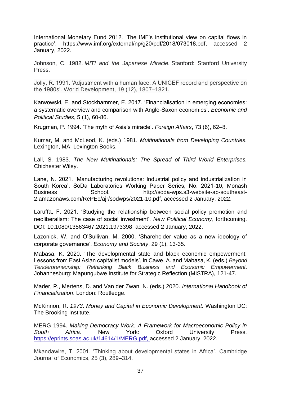International Monetary Fund 2012. 'The IMF's institutional view on capital flows in practice'. https://www.imf.org/external/np/g20/pdf/2018/073018.pdf, accessed 2 January, 2022.

Johnson, C. 1982. *MITI and the Japanese Miracle.* Stanford: Stanford University Press.

Jolly, R. 1991. 'Adjustment with a human face: A UNICEF record and perspective on the 1980s'. World Development, 19 (12), 1807–1821.

Karwowski, E. and Stockhammer, E. 2017. 'Financialisation in emerging economies: a systematic overview and comparison with Anglo-Saxon economies'. *Economic and Political Studies*, 5 (1), 60-86.

Krugman, P. 1994. 'The myth of Asia's miracle'. *Foreign Affairs*, 73 (6), 62–8.

Kumar, M. and McLeod, K. (eds.) 1981. *Multinationals from Developing Countries.* Lexington, MA: Lexington Books.

Lall, S. 1983. *The New Multinationals: The Spread of Third World Enterprises.* Chichester Wiley.

Lane, N. 2021. 'Manufacturing revolutions: Industrial policy and industrialization in South Korea'. SoDa Laboratories Working Paper Series, No. 2021-10, Monash Business School. http://soda-wps.s3-website-ap-southeast-2.amazonaws.com/RePEc/ajr/sodwps/2021-10.pdf, accessed 2 January, 2022.

Laruffa, F. 2021. 'Studying the relationship between social policy promotion and neoliberalism: The case of social investment'. *New Political Economy*, forthcoming. DOI: 10.1080/13563467.2021.1973398, accessed 2 January, 2022.

Lazonick, W. and O'Sullivan, M. 2000. 'Shareholder value as a new ideology of corporate governance'. *Economy and Society*, 29 (1), 13-35.

Mabasa, K. 2020. 'The developmental state and black economic empowerment: Lessons from East Asian capitalist models', in Cawe, A. and Mabasa, K. (eds.) *Beyond Tenderpreneurship: Rethinking Black Business and Economic Empowerment*. Johannesburg: Mapungubwe Institute for Strategic Reflection (MISTRA), 121-47.

Mader, P., Mertens, D. and Van der Zwan, N. (eds.) 2020. *International Handbook of Financialization*. London: Routledge.

McKinnon, R. *1973*. *Money and Capital in Economic Development.* Washington DC: The Brooking Institute.

MERG 1994. *Making Democracy Work: A Framework for Macroeconomic Policy in South Africa*. New York: Oxford University Press. [https://eprints.soas.ac.uk/14614/1/MERG.pdf,](https://eprints.soas.ac.uk/14614/1/MERG.pdf) accessed 2 January, 2022.

Mkandawire, T. 2001. 'Thinking about developmental states in Africa'. Cambridge Journal of Economics, 25 (3), 289–314.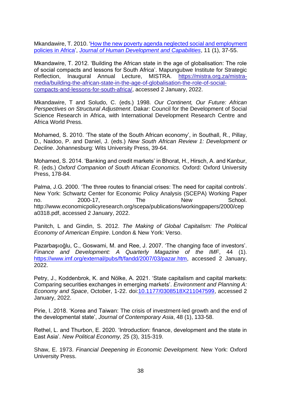Mkandawire, T. 2010. ['How the new poverty agenda neglected social and employment](https://ideas.repec.org/a/taf/jhudca/v11y2010i1p37-55.html)  [policies in Africa'](https://ideas.repec.org/a/taf/jhudca/v11y2010i1p37-55.html), *[Journal of Human Development and Capabilities](https://ideas.repec.org/s/taf/jhudca.html)*, 11 (1), 37-55.

Mkandawire, T. 2012. 'Building the African state in the age of globalisation: The role of social compacts and lessons for South Africa'. Mapungubwe Institute for Strategic Reflection, Inaugural Annual Lecture, MISTRA. [https://mistra.org.za/mistra](https://mistra.org.za/mistra-media/building-the-african-state-in-the-age-of-globalisation-the-role-of-social-compacts-and-lessons-for-south-africa/)[media/building-the-african-state-in-the-age-of-globalisation-the-role-of-social](https://mistra.org.za/mistra-media/building-the-african-state-in-the-age-of-globalisation-the-role-of-social-compacts-and-lessons-for-south-africa/)[compacts-and-lessons-for-south-africa/,](https://mistra.org.za/mistra-media/building-the-african-state-in-the-age-of-globalisation-the-role-of-social-compacts-and-lessons-for-south-africa/) accessed 2 January, 2022.

Mkandawire, T and Soludo, C. (eds.) 1998*. Our Continent, Our Future: African Perspectives on Structural Adjustment*. Dakar: Council for the Development of Social Science Research in Africa, with International Development Research Centre and Africa World Press.

Mohamed, S. 2010. 'The state of the South African economy', in Southall, R., Pillay, D., Naidoo, P. and Daniel, J. (eds.) *New South African Review 1: Development or Decline*. Johannesburg: Wits University Press, 39-64.

Mohamed, S. 2014. 'Banking and credit markets' in Bhorat, H., Hirsch, A. and Kanbur, R. (eds.) *Oxford Companion of South African Economics.* Oxford: Oxford University Press, 178-84.

Palma, J.G. 2000. 'The three routes to financial crises: The need for capital controls'. New York: Schwartz Center for Economic Policy Analysis (SCEPA) Working Paper no. 2000-17, The New School. http://www.economicpolicyresearch.org/scepa/publications/workingpapers/2000/cep a0318.pdf, accessed 2 January, 2022.

Panitch, L and Gindin, S. 2012. *The Making of Global Capitalism: The Political Economy of American Empire*. London & New York: Verso.

Pazarbaşıoğlu, C., Goswami, M. and Ree, J. 2007. 'The changing face of investors'. *Finance and Development: A Quarterly Magazine of the IMF*, 44 (1). [https://www.imf.org/external/pubs/ft/fandd/2007/03/pazar.htm,](https://www.imf.org/external/pubs/ft/fandd/2007/03/pazar.htm) accessed 2 January, 2022.

Petry, J., Koddenbrok, K. and Nölke, A. 2021. 'State capitalism and capital markets: Comparing securities exchanges in emerging markets'. *Environment and Planning A: Economy and Space*, October, 1-22. doi[:10.1177/0308518X211047599,](https://doi.org/10.1177/0308518X211047599) accessed 2 January, 2022.

Pirie, I. 2018. 'Korea and Taiwan: The crisis of investment-led growth and the end of the developmental state', *Journal of Contemporary Asia*, 48 (1), 133-58.

Rethel, L. and Thurbon, E. 2020. 'Introduction: finance, development and the state in East Asia'. *New Political Economy,* 25 (3), 315-319.

Shaw, E. 1973. *Financial Deepening in Economic Development.* New York: Oxford University Press.